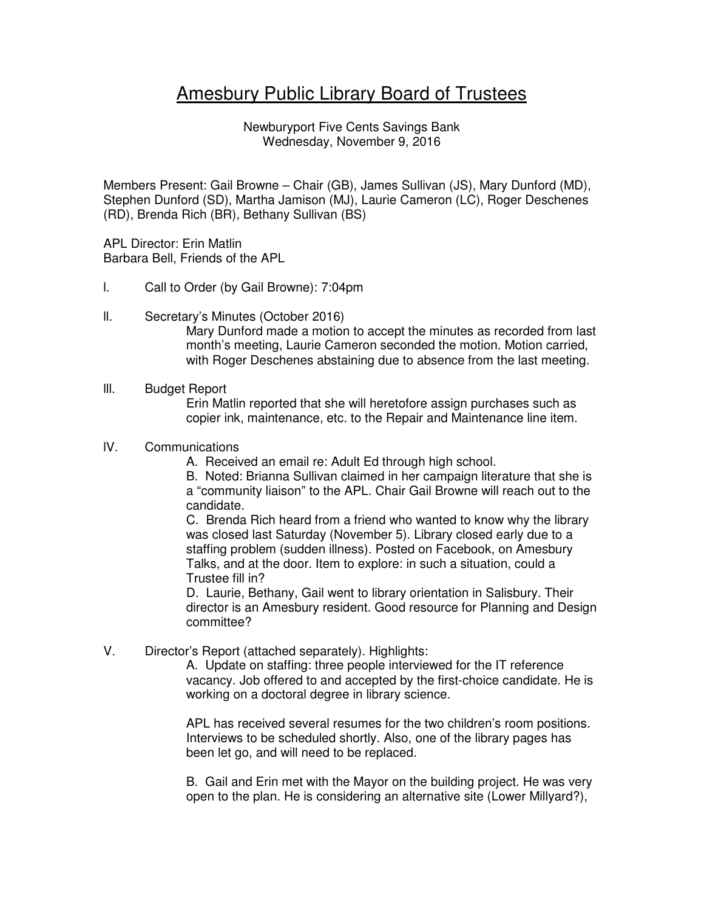# Amesbury Public Library Board of Trustees

Newburyport Five Cents Savings Bank Wednesday, November 9, 2016

Members Present: Gail Browne – Chair (GB), James Sullivan (JS), Mary Dunford (MD), Stephen Dunford (SD), Martha Jamison (MJ), Laurie Cameron (LC), Roger Deschenes (RD), Brenda Rich (BR), Bethany Sullivan (BS)

APL Director: Erin Matlin Barbara Bell, Friends of the APL

- l. Call to Order (by Gail Browne): 7:04pm
- ll. Secretary's Minutes (October 2016)

Mary Dunford made a motion to accept the minutes as recorded from last month's meeting, Laurie Cameron seconded the motion. Motion carried, with Roger Deschenes abstaining due to absence from the last meeting.

#### lll. Budget Report

Erin Matlin reported that she will heretofore assign purchases such as copier ink, maintenance, etc. to the Repair and Maintenance line item.

### lV. Communications

A. Received an email re: Adult Ed through high school.

B. Noted: Brianna Sullivan claimed in her campaign literature that she is a "community liaison" to the APL. Chair Gail Browne will reach out to the candidate.

C. Brenda Rich heard from a friend who wanted to know why the library was closed last Saturday (November 5). Library closed early due to a staffing problem (sudden illness). Posted on Facebook, on Amesbury Talks, and at the door. Item to explore: in such a situation, could a Trustee fill in?

D. Laurie, Bethany, Gail went to library orientation in Salisbury. Their director is an Amesbury resident. Good resource for Planning and Design committee?

V. Director's Report (attached separately). Highlights:

A. Update on staffing: three people interviewed for the IT reference vacancy. Job offered to and accepted by the first-choice candidate. He is working on a doctoral degree in library science.

APL has received several resumes for the two children's room positions. Interviews to be scheduled shortly. Also, one of the library pages has been let go, and will need to be replaced.

B. Gail and Erin met with the Mayor on the building project. He was very open to the plan. He is considering an alternative site (Lower Millyard?),